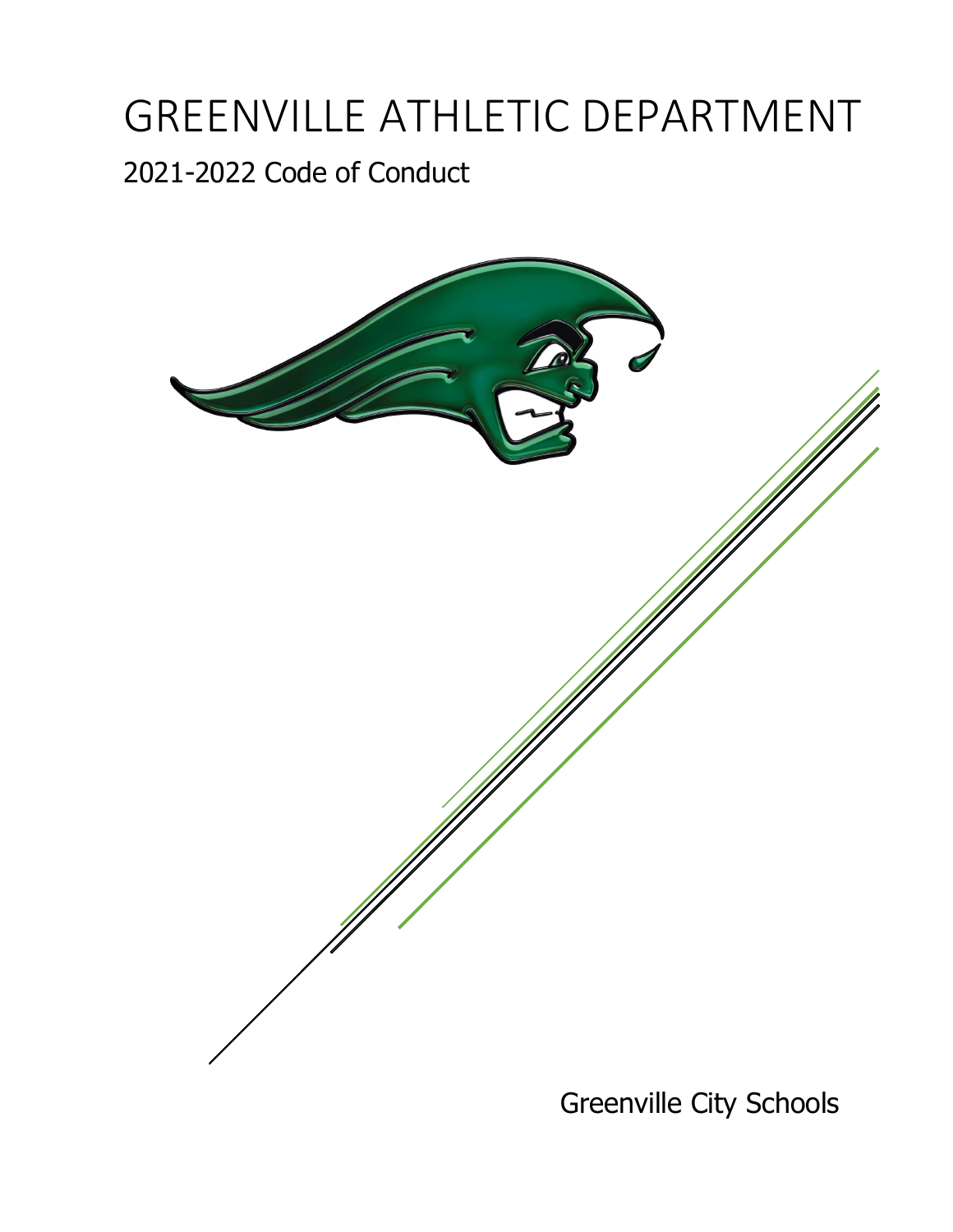# GREENVILLE ATHLETIC DEPARTMENT

# 2021-2022 Code of Conduct



Greenville City Schools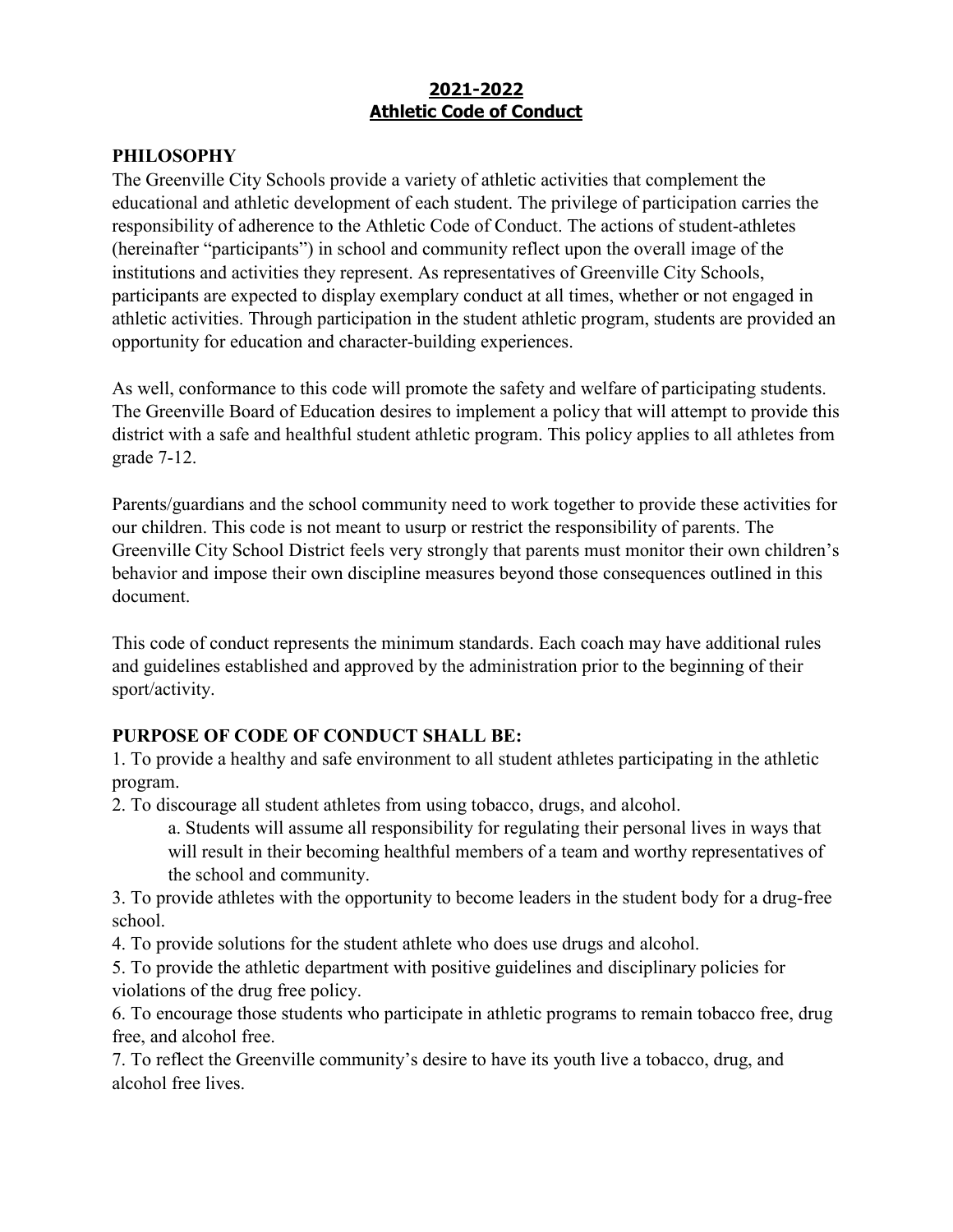# **2021-2022 Athletic Code of Conduct**

# **PHILOSOPHY**

The Greenville City Schools provide a variety of athletic activities that complement the educational and athletic development of each student. The privilege of participation carries the responsibility of adherence to the Athletic Code of Conduct. The actions of student-athletes (hereinafter "participants") in school and community reflect upon the overall image of the institutions and activities they represent. As representatives of Greenville City Schools, participants are expected to display exemplary conduct at all times, whether or not engaged in athletic activities. Through participation in the student athletic program, students are provided an opportunity for education and character-building experiences.

As well, conformance to this code will promote the safety and welfare of participating students. The Greenville Board of Education desires to implement a policy that will attempt to provide this district with a safe and healthful student athletic program. This policy applies to all athletes from grade 7-12.

Parents/guardians and the school community need to work together to provide these activities for our children. This code is not meant to usurp or restrict the responsibility of parents. The Greenville City School District feels very strongly that parents must monitor their own children's behavior and impose their own discipline measures beyond those consequences outlined in this document.

This code of conduct represents the minimum standards. Each coach may have additional rules and guidelines established and approved by the administration prior to the beginning of their sport/activity.

# **PURPOSE OF CODE OF CONDUCT SHALL BE:**

1. To provide a healthy and safe environment to all student athletes participating in the athletic program.

2. To discourage all student athletes from using tobacco, drugs, and alcohol.

a. Students will assume all responsibility for regulating their personal lives in ways that will result in their becoming healthful members of a team and worthy representatives of the school and community.

3. To provide athletes with the opportunity to become leaders in the student body for a drug-free school.

4. To provide solutions for the student athlete who does use drugs and alcohol.

5. To provide the athletic department with positive guidelines and disciplinary policies for violations of the drug free policy.

6. To encourage those students who participate in athletic programs to remain tobacco free, drug free, and alcohol free.

7. To reflect the Greenville community's desire to have its youth live a tobacco, drug, and alcohol free lives.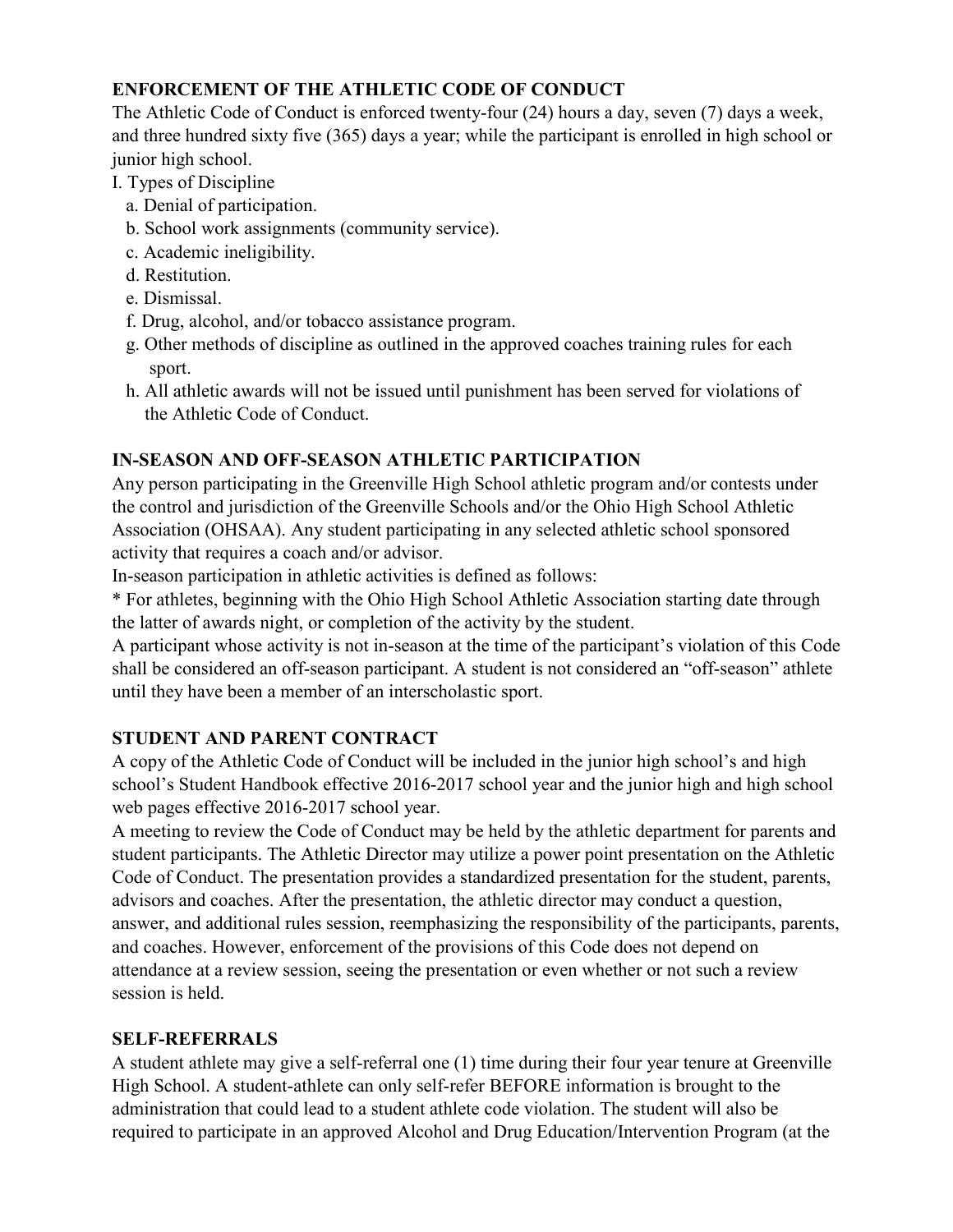# **ENFORCEMENT OF THE ATHLETIC CODE OF CONDUCT**

The Athletic Code of Conduct is enforced twenty-four (24) hours a day, seven (7) days a week, and three hundred sixty five (365) days a year; while the participant is enrolled in high school or junior high school.

- I. Types of Discipline
	- a. Denial of participation.
	- b. School work assignments (community service).
	- c. Academic ineligibility.
	- d. Restitution.
	- e. Dismissal.
	- f. Drug, alcohol, and/or tobacco assistance program.
	- g. Other methods of discipline as outlined in the approved coaches training rules for each sport.
	- h. All athletic awards will not be issued until punishment has been served for violations of the Athletic Code of Conduct.

# **IN-SEASON AND OFF-SEASON ATHLETIC PARTICIPATION**

Any person participating in the Greenville High School athletic program and/or contests under the control and jurisdiction of the Greenville Schools and/or the Ohio High School Athletic Association (OHSAA). Any student participating in any selected athletic school sponsored activity that requires a coach and/or advisor.

In-season participation in athletic activities is defined as follows:

\* For athletes, beginning with the Ohio High School Athletic Association starting date through the latter of awards night, or completion of the activity by the student.

A participant whose activity is not in-season at the time of the participant's violation of this Code shall be considered an off-season participant. A student is not considered an "off-season" athlete until they have been a member of an interscholastic sport.

# **STUDENT AND PARENT CONTRACT**

A copy of the Athletic Code of Conduct will be included in the junior high school's and high school's Student Handbook effective 2016-2017 school year and the junior high and high school web pages effective 2016-2017 school year.

A meeting to review the Code of Conduct may be held by the athletic department for parents and student participants. The Athletic Director may utilize a power point presentation on the Athletic Code of Conduct. The presentation provides a standardized presentation for the student, parents, advisors and coaches. After the presentation, the athletic director may conduct a question, answer, and additional rules session, reemphasizing the responsibility of the participants, parents, and coaches. However, enforcement of the provisions of this Code does not depend on attendance at a review session, seeing the presentation or even whether or not such a review session is held.

# **SELF-REFERRALS**

A student athlete may give a self-referral one (1) time during their four year tenure at Greenville High School. A student-athlete can only self-refer BEFORE information is brought to the administration that could lead to a student athlete code violation. The student will also be required to participate in an approved Alcohol and Drug Education/Intervention Program (at the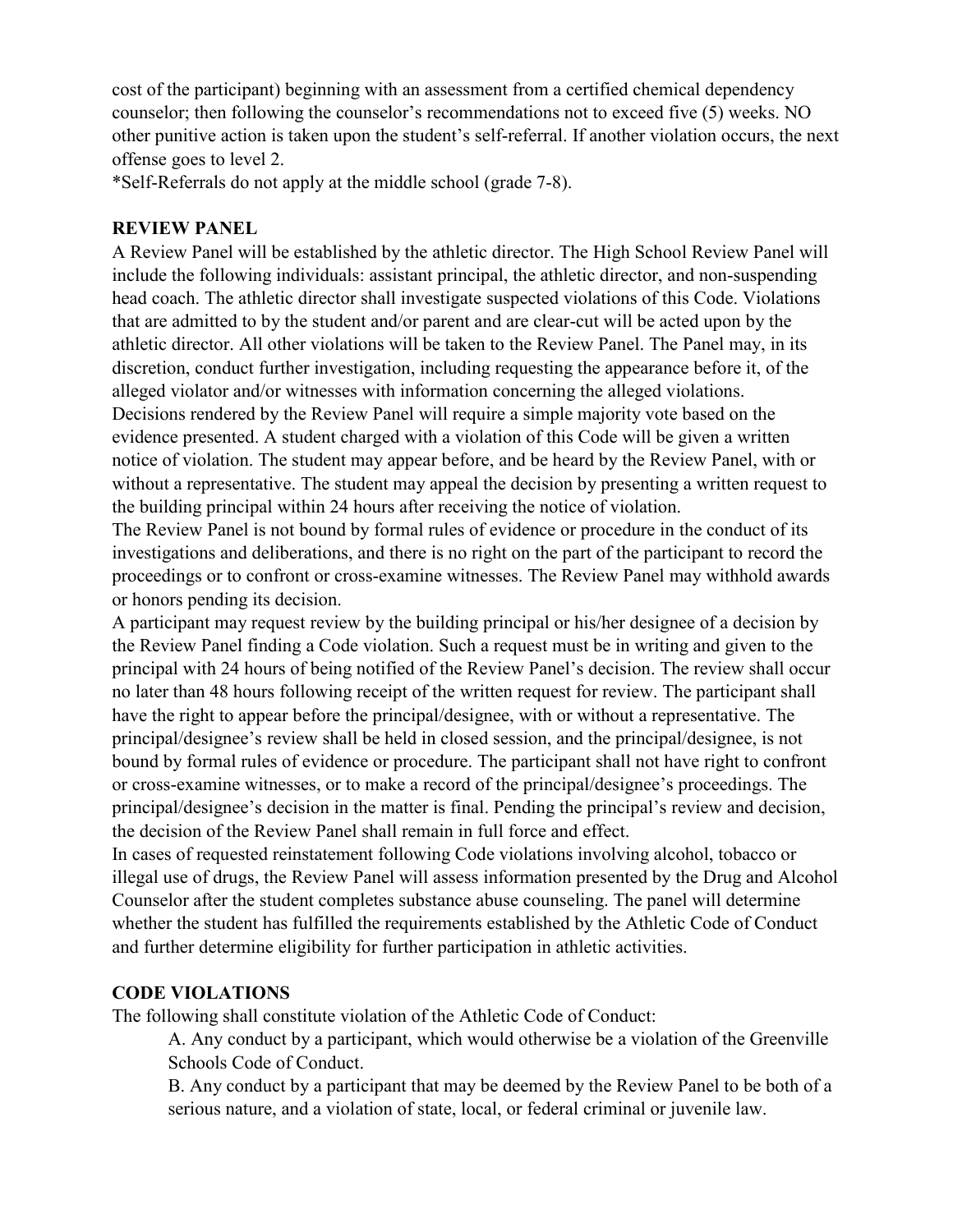cost of the participant) beginning with an assessment from a certified chemical dependency counselor; then following the counselor's recommendations not to exceed five (5) weeks. NO other punitive action is taken upon the student's self-referral. If another violation occurs, the next offense goes to level 2.

\*Self-Referrals do not apply at the middle school (grade 7-8).

# **REVIEW PANEL**

A Review Panel will be established by the athletic director. The High School Review Panel will include the following individuals: assistant principal, the athletic director, and non-suspending head coach. The athletic director shall investigate suspected violations of this Code. Violations that are admitted to by the student and/or parent and are clear-cut will be acted upon by the athletic director. All other violations will be taken to the Review Panel. The Panel may, in its discretion, conduct further investigation, including requesting the appearance before it, of the alleged violator and/or witnesses with information concerning the alleged violations. Decisions rendered by the Review Panel will require a simple majority vote based on the evidence presented. A student charged with a violation of this Code will be given a written notice of violation. The student may appear before, and be heard by the Review Panel, with or without a representative. The student may appeal the decision by presenting a written request to the building principal within 24 hours after receiving the notice of violation.

The Review Panel is not bound by formal rules of evidence or procedure in the conduct of its investigations and deliberations, and there is no right on the part of the participant to record the proceedings or to confront or cross-examine witnesses. The Review Panel may withhold awards or honors pending its decision.

A participant may request review by the building principal or his/her designee of a decision by the Review Panel finding a Code violation. Such a request must be in writing and given to the principal with 24 hours of being notified of the Review Panel's decision. The review shall occur no later than 48 hours following receipt of the written request for review. The participant shall have the right to appear before the principal/designee, with or without a representative. The principal/designee's review shall be held in closed session, and the principal/designee, is not bound by formal rules of evidence or procedure. The participant shall not have right to confront or cross-examine witnesses, or to make a record of the principal/designee's proceedings. The principal/designee's decision in the matter is final. Pending the principal's review and decision, the decision of the Review Panel shall remain in full force and effect.

In cases of requested reinstatement following Code violations involving alcohol, tobacco or illegal use of drugs, the Review Panel will assess information presented by the Drug and Alcohol Counselor after the student completes substance abuse counseling. The panel will determine whether the student has fulfilled the requirements established by the Athletic Code of Conduct and further determine eligibility for further participation in athletic activities.

# **CODE VIOLATIONS**

The following shall constitute violation of the Athletic Code of Conduct:

A. Any conduct by a participant, which would otherwise be a violation of the Greenville Schools Code of Conduct.

B. Any conduct by a participant that may be deemed by the Review Panel to be both of a serious nature, and a violation of state, local, or federal criminal or juvenile law.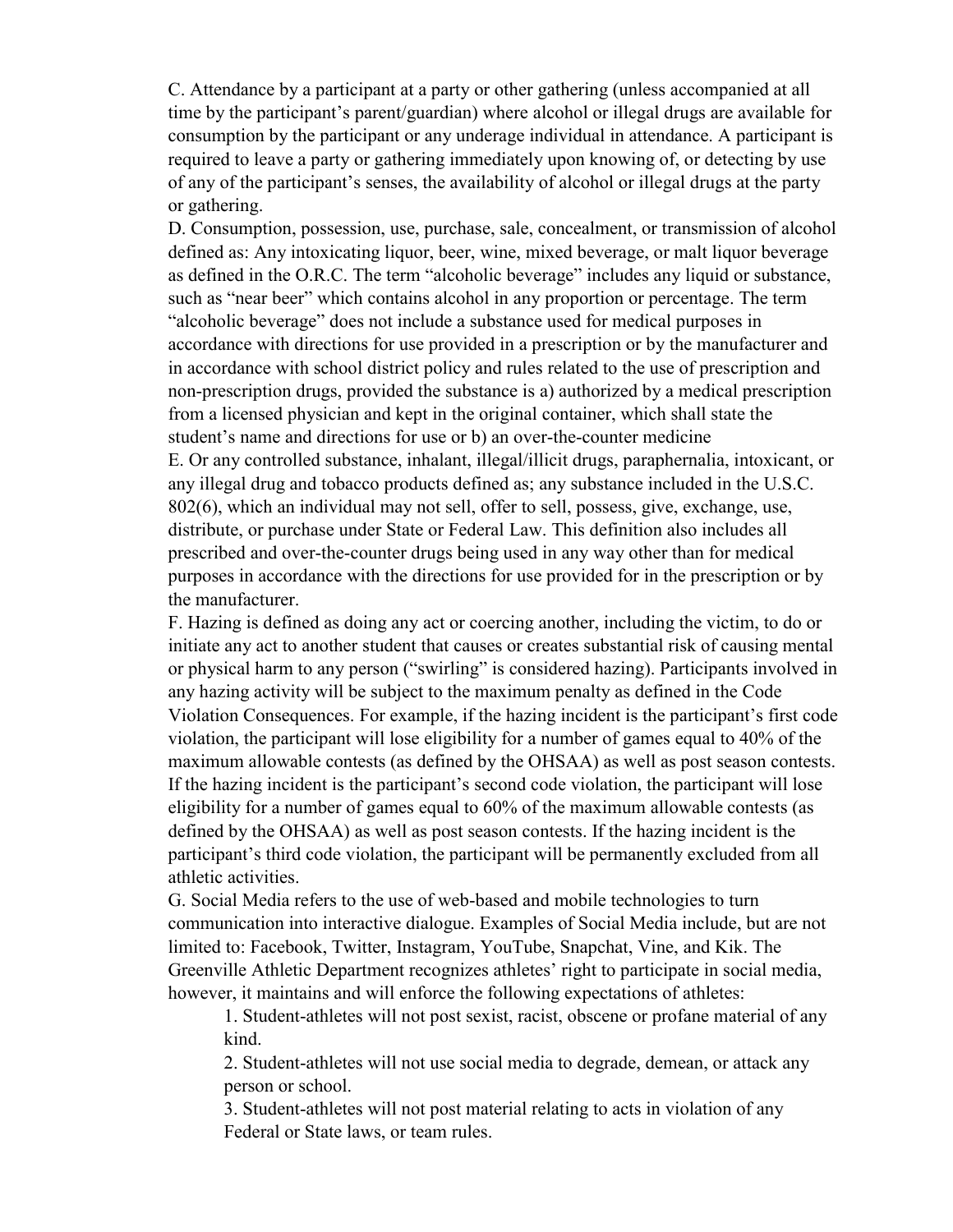C. Attendance by a participant at a party or other gathering (unless accompanied at all time by the participant's parent/guardian) where alcohol or illegal drugs are available for consumption by the participant or any underage individual in attendance. A participant is required to leave a party or gathering immediately upon knowing of, or detecting by use of any of the participant's senses, the availability of alcohol or illegal drugs at the party or gathering.

D. Consumption, possession, use, purchase, sale, concealment, or transmission of alcohol defined as: Any intoxicating liquor, beer, wine, mixed beverage, or malt liquor beverage as defined in the O.R.C. The term "alcoholic beverage" includes any liquid or substance, such as "near beer" which contains alcohol in any proportion or percentage. The term "alcoholic beverage" does not include a substance used for medical purposes in accordance with directions for use provided in a prescription or by the manufacturer and in accordance with school district policy and rules related to the use of prescription and non-prescription drugs, provided the substance is a) authorized by a medical prescription from a licensed physician and kept in the original container, which shall state the student's name and directions for use or b) an over-the-counter medicine E. Or any controlled substance, inhalant, illegal/illicit drugs, paraphernalia, intoxicant, or any illegal drug and tobacco products defined as; any substance included in the U.S.C. 802(6), which an individual may not sell, offer to sell, possess, give, exchange, use, distribute, or purchase under State or Federal Law. This definition also includes all prescribed and over-the-counter drugs being used in any way other than for medical purposes in accordance with the directions for use provided for in the prescription or by the manufacturer.

F. Hazing is defined as doing any act or coercing another, including the victim, to do or initiate any act to another student that causes or creates substantial risk of causing mental or physical harm to any person ("swirling" is considered hazing). Participants involved in any hazing activity will be subject to the maximum penalty as defined in the Code Violation Consequences. For example, if the hazing incident is the participant's first code violation, the participant will lose eligibility for a number of games equal to 40% of the maximum allowable contests (as defined by the OHSAA) as well as post season contests. If the hazing incident is the participant's second code violation, the participant will lose eligibility for a number of games equal to 60% of the maximum allowable contests (as defined by the OHSAA) as well as post season contests. If the hazing incident is the participant's third code violation, the participant will be permanently excluded from all athletic activities.

G. Social Media refers to the use of web-based and mobile technologies to turn communication into interactive dialogue. Examples of Social Media include, but are not limited to: Facebook, Twitter, Instagram, YouTube, Snapchat, Vine, and Kik. The Greenville Athletic Department recognizes athletes' right to participate in social media, however, it maintains and will enforce the following expectations of athletes:

1. Student-athletes will not post sexist, racist, obscene or profane material of any kind.

2. Student-athletes will not use social media to degrade, demean, or attack any person or school.

3. Student-athletes will not post material relating to acts in violation of any Federal or State laws, or team rules.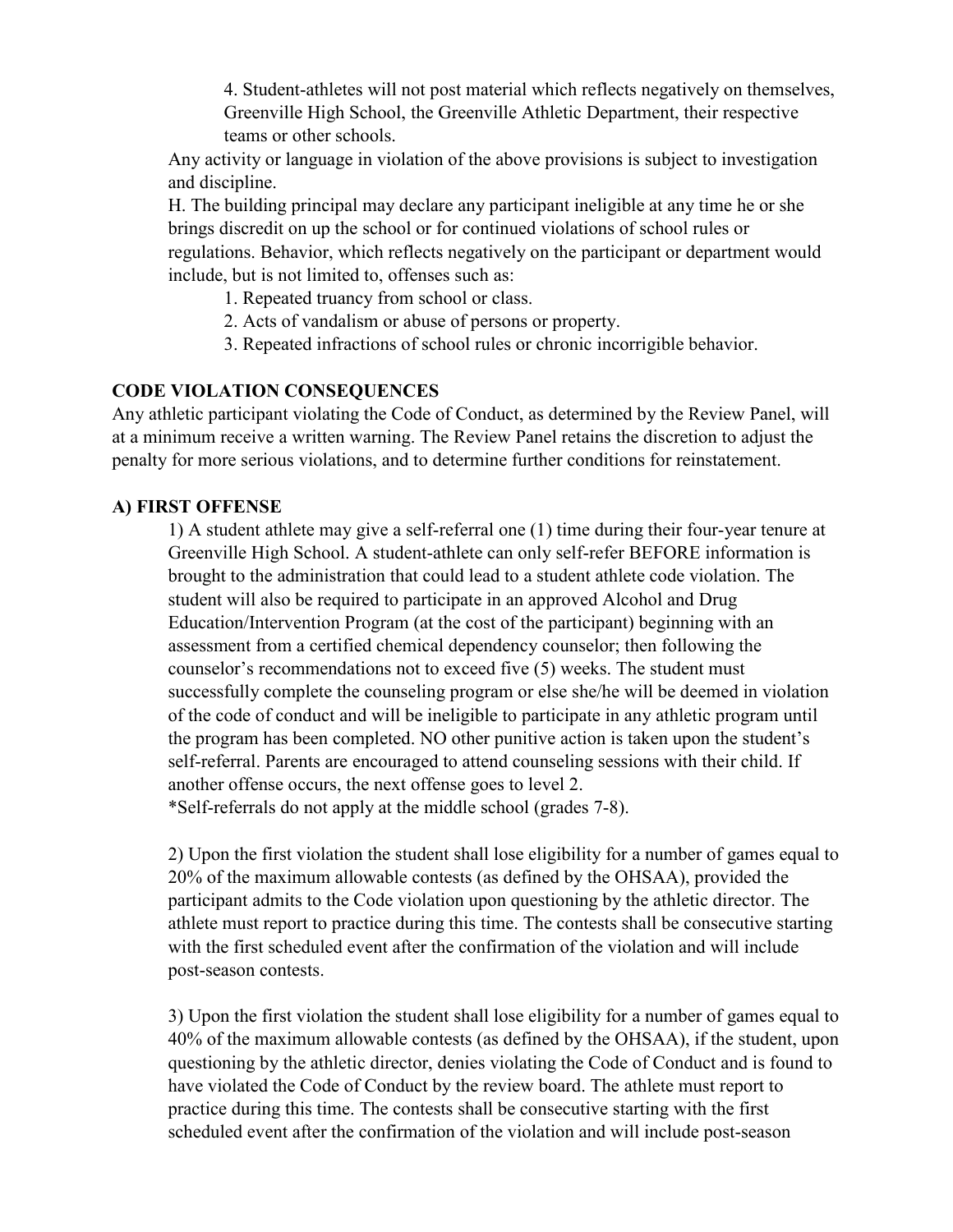4. Student-athletes will not post material which reflects negatively on themselves, Greenville High School, the Greenville Athletic Department, their respective teams or other schools.

Any activity or language in violation of the above provisions is subject to investigation and discipline.

H. The building principal may declare any participant ineligible at any time he or she brings discredit on up the school or for continued violations of school rules or regulations. Behavior, which reflects negatively on the participant or department would include, but is not limited to, offenses such as:

- 1. Repeated truancy from school or class.
- 2. Acts of vandalism or abuse of persons or property.
- 3. Repeated infractions of school rules or chronic incorrigible behavior.

#### **CODE VIOLATION CONSEQUENCES**

Any athletic participant violating the Code of Conduct, as determined by the Review Panel, will at a minimum receive a written warning. The Review Panel retains the discretion to adjust the penalty for more serious violations, and to determine further conditions for reinstatement.

# **A) FIRST OFFENSE**

1) A student athlete may give a self-referral one (1) time during their four-year tenure at Greenville High School. A student-athlete can only self-refer BEFORE information is brought to the administration that could lead to a student athlete code violation. The student will also be required to participate in an approved Alcohol and Drug Education/Intervention Program (at the cost of the participant) beginning with an assessment from a certified chemical dependency counselor; then following the counselor's recommendations not to exceed five (5) weeks. The student must successfully complete the counseling program or else she/he will be deemed in violation of the code of conduct and will be ineligible to participate in any athletic program until the program has been completed. NO other punitive action is taken upon the student's self-referral. Parents are encouraged to attend counseling sessions with their child. If another offense occurs, the next offense goes to level 2. \*Self-referrals do not apply at the middle school (grades 7-8).

2) Upon the first violation the student shall lose eligibility for a number of games equal to 20% of the maximum allowable contests (as defined by the OHSAA), provided the participant admits to the Code violation upon questioning by the athletic director. The athlete must report to practice during this time. The contests shall be consecutive starting with the first scheduled event after the confirmation of the violation and will include post-season contests.

3) Upon the first violation the student shall lose eligibility for a number of games equal to 40% of the maximum allowable contests (as defined by the OHSAA), if the student, upon questioning by the athletic director, denies violating the Code of Conduct and is found to have violated the Code of Conduct by the review board. The athlete must report to practice during this time. The contests shall be consecutive starting with the first scheduled event after the confirmation of the violation and will include post-season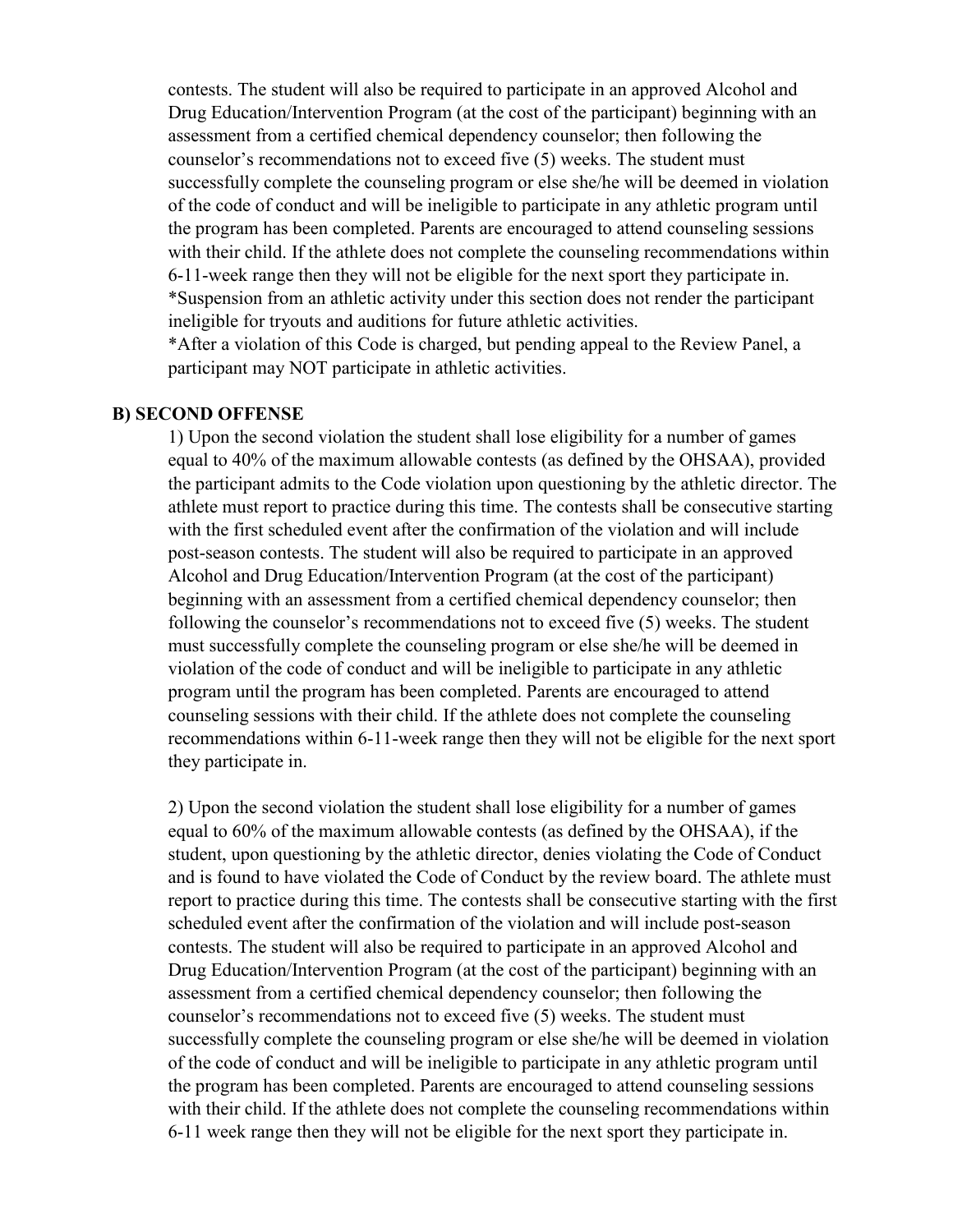contests. The student will also be required to participate in an approved Alcohol and Drug Education/Intervention Program (at the cost of the participant) beginning with an assessment from a certified chemical dependency counselor; then following the counselor's recommendations not to exceed five (5) weeks. The student must successfully complete the counseling program or else she/he will be deemed in violation of the code of conduct and will be ineligible to participate in any athletic program until the program has been completed. Parents are encouraged to attend counseling sessions with their child. If the athlete does not complete the counseling recommendations within 6-11-week range then they will not be eligible for the next sport they participate in. \*Suspension from an athletic activity under this section does not render the participant ineligible for tryouts and auditions for future athletic activities.

\*After a violation of this Code is charged, but pending appeal to the Review Panel, a participant may NOT participate in athletic activities.

#### **B) SECOND OFFENSE**

1) Upon the second violation the student shall lose eligibility for a number of games equal to 40% of the maximum allowable contests (as defined by the OHSAA), provided the participant admits to the Code violation upon questioning by the athletic director. The athlete must report to practice during this time. The contests shall be consecutive starting with the first scheduled event after the confirmation of the violation and will include post-season contests. The student will also be required to participate in an approved Alcohol and Drug Education/Intervention Program (at the cost of the participant) beginning with an assessment from a certified chemical dependency counselor; then following the counselor's recommendations not to exceed five (5) weeks. The student must successfully complete the counseling program or else she/he will be deemed in violation of the code of conduct and will be ineligible to participate in any athletic program until the program has been completed. Parents are encouraged to attend counseling sessions with their child. If the athlete does not complete the counseling recommendations within 6-11-week range then they will not be eligible for the next sport they participate in.

2) Upon the second violation the student shall lose eligibility for a number of games equal to 60% of the maximum allowable contests (as defined by the OHSAA), if the student, upon questioning by the athletic director, denies violating the Code of Conduct and is found to have violated the Code of Conduct by the review board. The athlete must report to practice during this time. The contests shall be consecutive starting with the first scheduled event after the confirmation of the violation and will include post-season contests. The student will also be required to participate in an approved Alcohol and Drug Education/Intervention Program (at the cost of the participant) beginning with an assessment from a certified chemical dependency counselor; then following the counselor's recommendations not to exceed five (5) weeks. The student must successfully complete the counseling program or else she/he will be deemed in violation of the code of conduct and will be ineligible to participate in any athletic program until the program has been completed. Parents are encouraged to attend counseling sessions with their child. If the athlete does not complete the counseling recommendations within 6-11 week range then they will not be eligible for the next sport they participate in.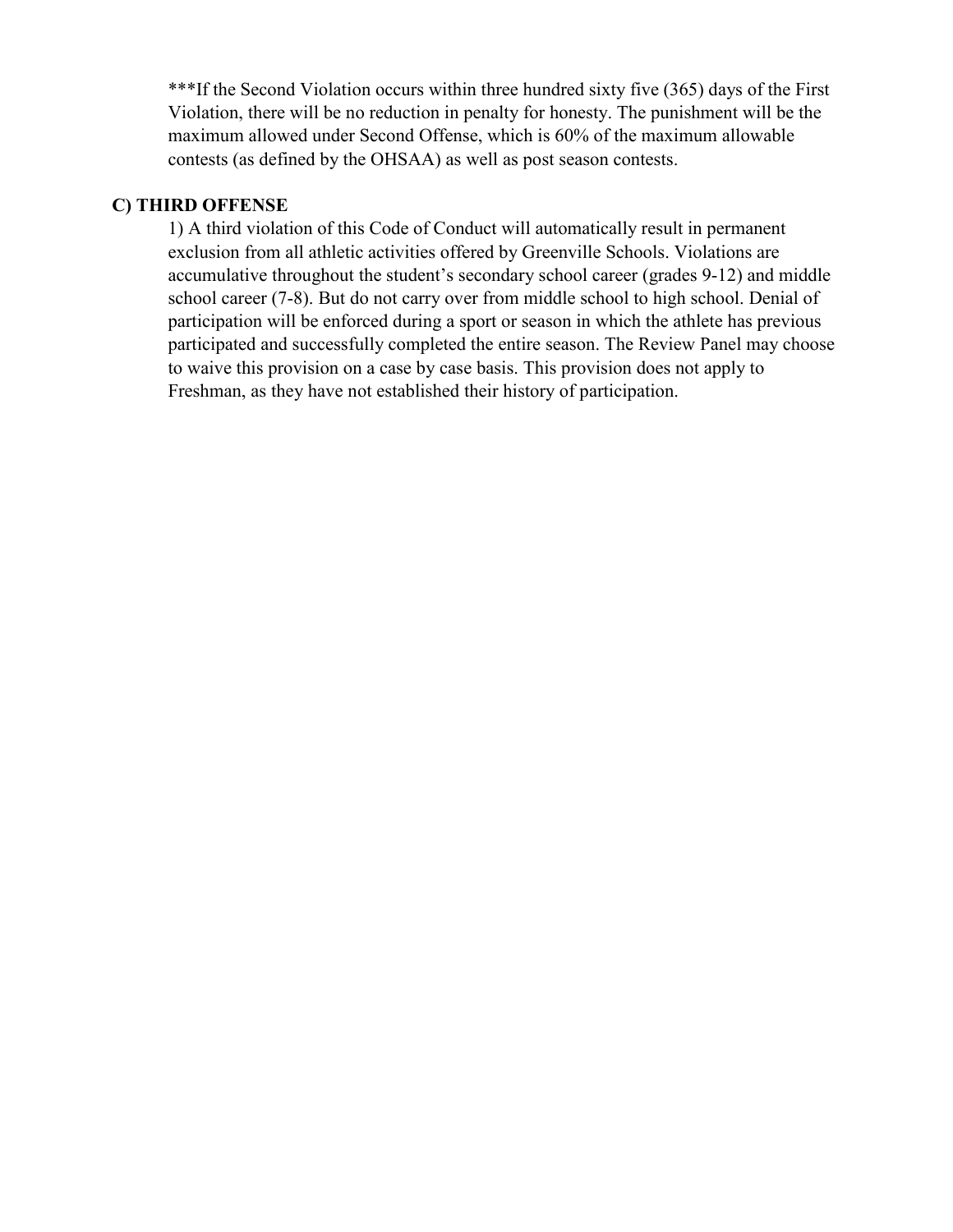\*\*\*If the Second Violation occurs within three hundred sixty five (365) days of the First Violation, there will be no reduction in penalty for honesty. The punishment will be the maximum allowed under Second Offense, which is 60% of the maximum allowable contests (as defined by the OHSAA) as well as post season contests.

#### **C) THIRD OFFENSE**

1) A third violation of this Code of Conduct will automatically result in permanent exclusion from all athletic activities offered by Greenville Schools. Violations are accumulative throughout the student's secondary school career (grades 9-12) and middle school career (7-8). But do not carry over from middle school to high school. Denial of participation will be enforced during a sport or season in which the athlete has previous participated and successfully completed the entire season. The Review Panel may choose to waive this provision on a case by case basis. This provision does not apply to Freshman, as they have not established their history of participation.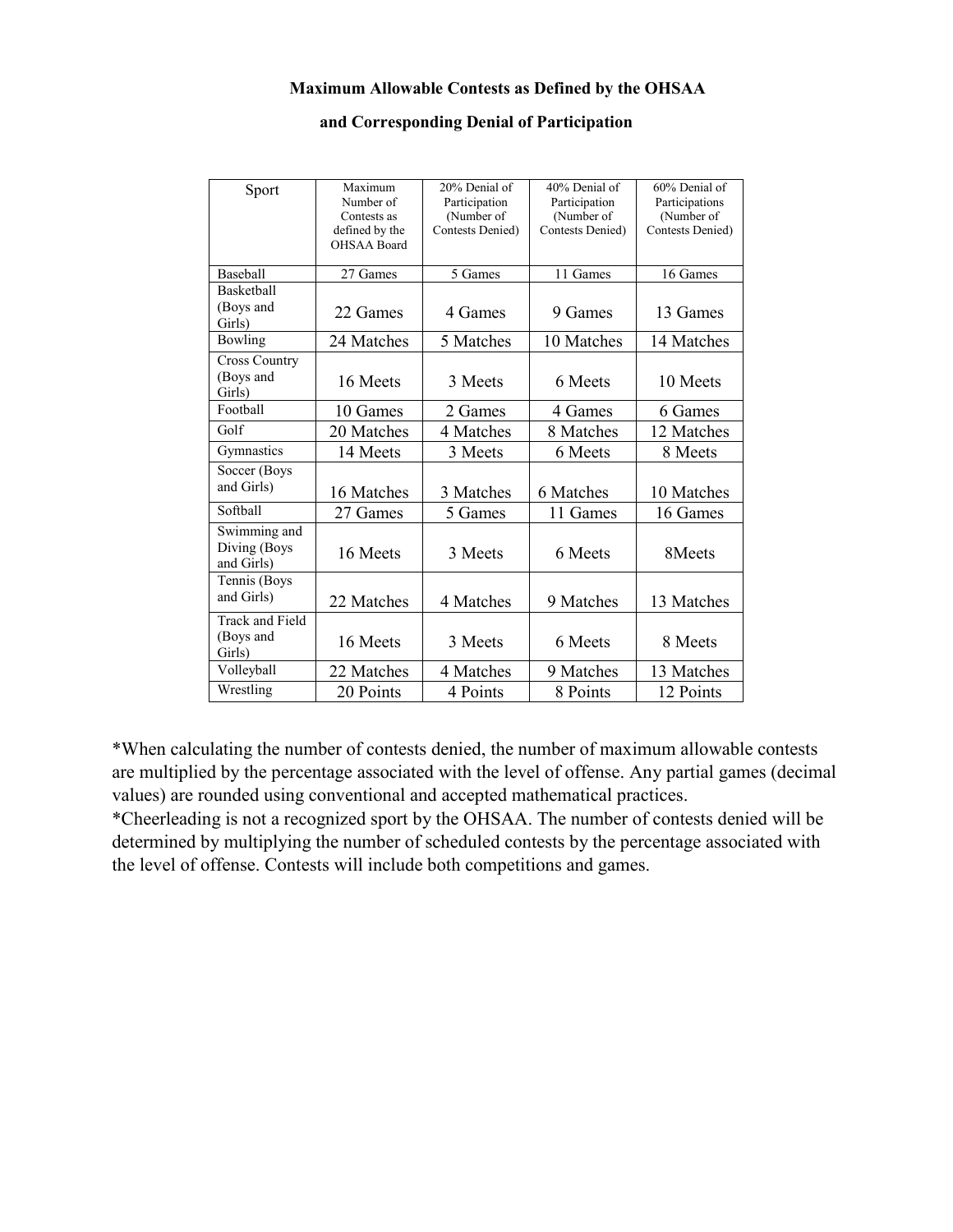#### **Maximum Allowable Contests as Defined by the OHSAA**

#### **and Corresponding Denial of Participation**

| Sport                                         | Maximum<br>Number of<br>Contests as<br>defined by the<br><b>OHSAA Board</b> | 20% Denial of<br>Participation<br>(Number of<br>Contests Denied) | 40% Denial of<br>Participation<br>(Number of<br>Contests Denied) | 60% Denial of<br>Participations<br>(Number of<br>Contests Denied) |
|-----------------------------------------------|-----------------------------------------------------------------------------|------------------------------------------------------------------|------------------------------------------------------------------|-------------------------------------------------------------------|
| <b>Baseball</b>                               | 27 Games                                                                    | 5 Games                                                          | 11 Games                                                         | 16 Games                                                          |
| Basketball<br>(Boys and<br>Girls)             | 22 Games                                                                    | 4 Games                                                          | 9 Games                                                          | 13 Games                                                          |
| Bowling                                       | 24 Matches                                                                  | 5 Matches                                                        | 10 Matches                                                       | 14 Matches                                                        |
| <b>Cross Country</b><br>(Boys and<br>Girls)   | 16 Meets                                                                    | 3 Meets                                                          | 6 Meets                                                          | 10 Meets                                                          |
| Football                                      | 10 Games                                                                    | 2 Games                                                          | 4 Games                                                          | 6 Games                                                           |
| Golf                                          | 20 Matches                                                                  | 4 Matches                                                        | 8 Matches                                                        | 12 Matches                                                        |
| Gymnastics                                    | 14 Meets                                                                    | 3 Meets                                                          | 6 Meets                                                          | 8 Meets                                                           |
| Soccer (Boys<br>and Girls)                    | 16 Matches                                                                  | 3 Matches                                                        | 6 Matches                                                        | 10 Matches                                                        |
| Softball                                      | 27 Games                                                                    | 5 Games                                                          | 11 Games                                                         | 16 Games                                                          |
| Swimming and<br>Diving (Boys<br>and Girls)    | 16 Meets                                                                    | 3 Meets                                                          | 6 Meets                                                          | 8Meets                                                            |
| Tennis (Boys<br>and Girls)                    | 22 Matches                                                                  | 4 Matches                                                        | 9 Matches                                                        | 13 Matches                                                        |
| <b>Track and Field</b><br>(Boys and<br>Girls) | 16 Meets                                                                    | 3 Meets                                                          | 6 Meets                                                          | 8 Meets                                                           |
| Volleyball                                    | 22 Matches                                                                  | 4 Matches                                                        | 9 Matches                                                        | 13 Matches                                                        |
| Wrestling                                     | 20 Points                                                                   | 4 Points                                                         | 8 Points                                                         | 12 Points                                                         |

\*When calculating the number of contests denied, the number of maximum allowable contests are multiplied by the percentage associated with the level of offense. Any partial games (decimal values) are rounded using conventional and accepted mathematical practices.

\*Cheerleading is not a recognized sport by the OHSAA. The number of contests denied will be determined by multiplying the number of scheduled contests by the percentage associated with the level of offense. Contests will include both competitions and games.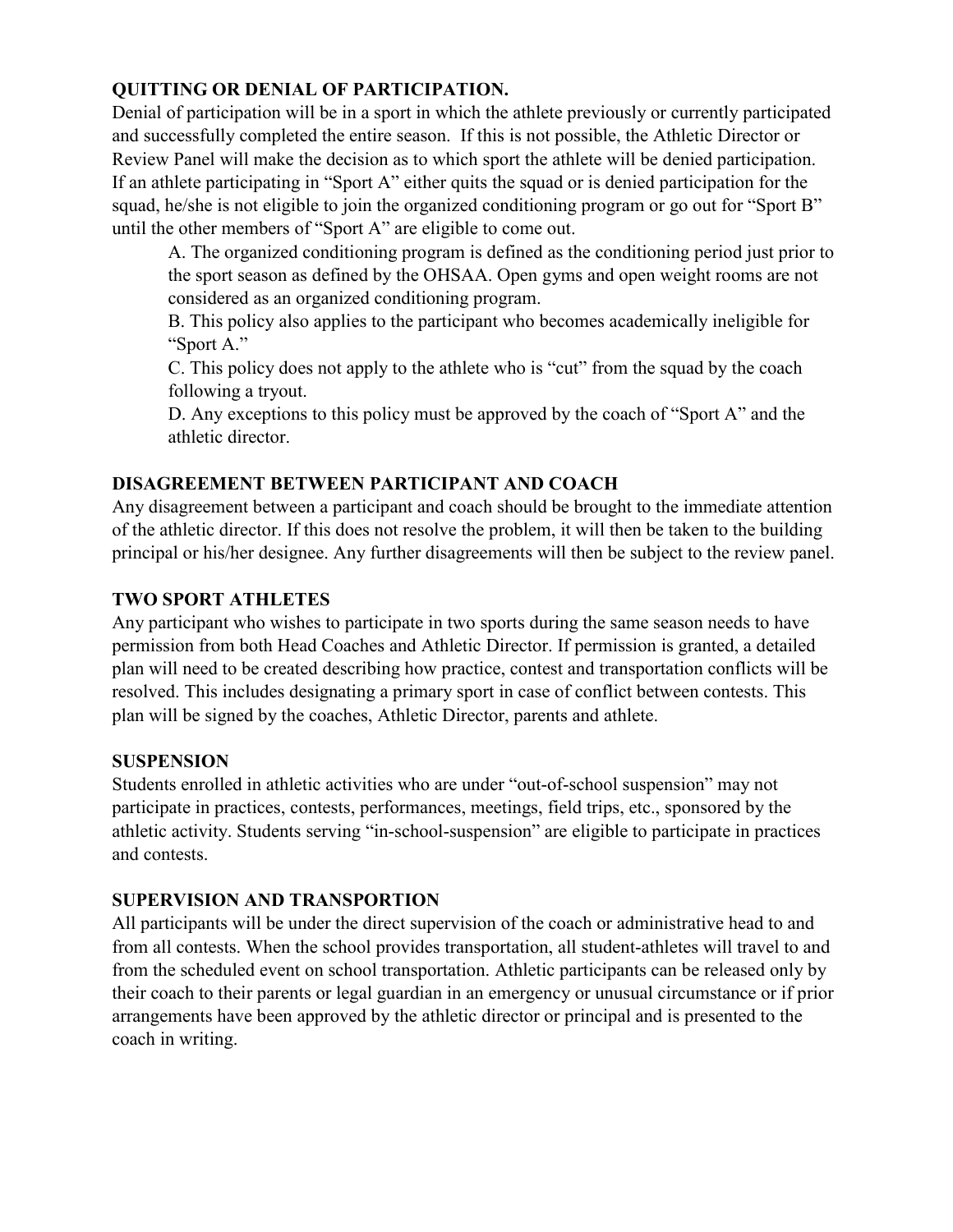# **QUITTING OR DENIAL OF PARTICIPATION.**

Denial of participation will be in a sport in which the athlete previously or currently participated and successfully completed the entire season. If this is not possible, the Athletic Director or Review Panel will make the decision as to which sport the athlete will be denied participation. If an athlete participating in "Sport A" either quits the squad or is denied participation for the squad, he/she is not eligible to join the organized conditioning program or go out for "Sport B" until the other members of "Sport A" are eligible to come out.

A. The organized conditioning program is defined as the conditioning period just prior to the sport season as defined by the OHSAA. Open gyms and open weight rooms are not considered as an organized conditioning program.

B. This policy also applies to the participant who becomes academically ineligible for "Sport A."

C. This policy does not apply to the athlete who is "cut" from the squad by the coach following a tryout.

D. Any exceptions to this policy must be approved by the coach of "Sport A" and the athletic director.

# **DISAGREEMENT BETWEEN PARTICIPANT AND COACH**

Any disagreement between a participant and coach should be brought to the immediate attention of the athletic director. If this does not resolve the problem, it will then be taken to the building principal or his/her designee. Any further disagreements will then be subject to the review panel.

# **TWO SPORT ATHLETES**

Any participant who wishes to participate in two sports during the same season needs to have permission from both Head Coaches and Athletic Director. If permission is granted, a detailed plan will need to be created describing how practice, contest and transportation conflicts will be resolved. This includes designating a primary sport in case of conflict between contests. This plan will be signed by the coaches, Athletic Director, parents and athlete.

# **SUSPENSION**

Students enrolled in athletic activities who are under "out-of-school suspension" may not participate in practices, contests, performances, meetings, field trips, etc., sponsored by the athletic activity. Students serving "in-school-suspension" are eligible to participate in practices and contests.

# **SUPERVISION AND TRANSPORTION**

All participants will be under the direct supervision of the coach or administrative head to and from all contests. When the school provides transportation, all student-athletes will travel to and from the scheduled event on school transportation. Athletic participants can be released only by their coach to their parents or legal guardian in an emergency or unusual circumstance or if prior arrangements have been approved by the athletic director or principal and is presented to the coach in writing.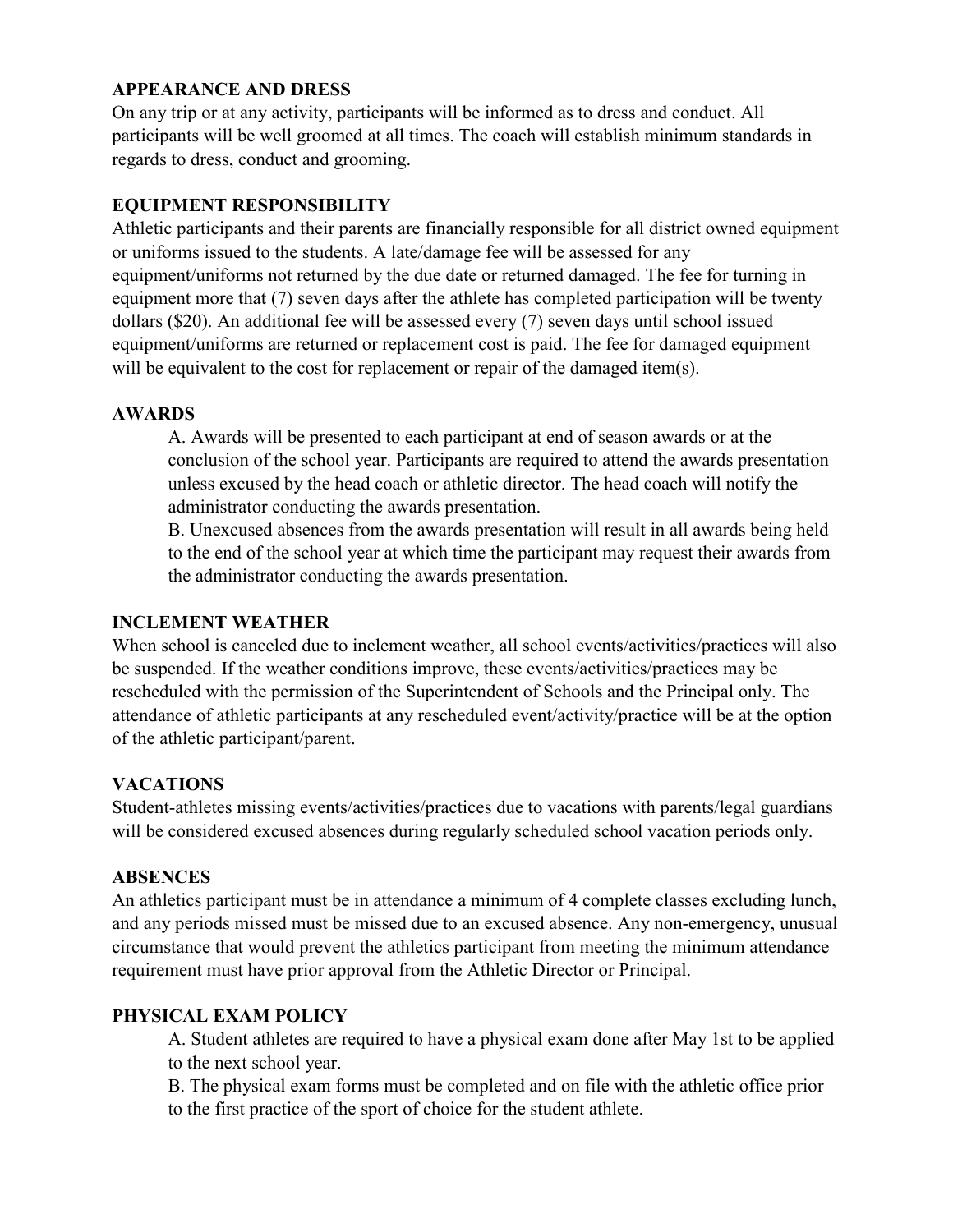#### **APPEARANCE AND DRESS**

On any trip or at any activity, participants will be informed as to dress and conduct. All participants will be well groomed at all times. The coach will establish minimum standards in regards to dress, conduct and grooming.

# **EQUIPMENT RESPONSIBILITY**

Athletic participants and their parents are financially responsible for all district owned equipment or uniforms issued to the students. A late/damage fee will be assessed for any equipment/uniforms not returned by the due date or returned damaged. The fee for turning in equipment more that (7) seven days after the athlete has completed participation will be twenty dollars (\$20). An additional fee will be assessed every (7) seven days until school issued equipment/uniforms are returned or replacement cost is paid. The fee for damaged equipment will be equivalent to the cost for replacement or repair of the damaged item(s).

#### **AWARDS**

A. Awards will be presented to each participant at end of season awards or at the conclusion of the school year. Participants are required to attend the awards presentation unless excused by the head coach or athletic director. The head coach will notify the administrator conducting the awards presentation.

B. Unexcused absences from the awards presentation will result in all awards being held to the end of the school year at which time the participant may request their awards from the administrator conducting the awards presentation.

#### **INCLEMENT WEATHER**

When school is canceled due to inclement weather, all school events/activities/practices will also be suspended. If the weather conditions improve, these events/activities/practices may be rescheduled with the permission of the Superintendent of Schools and the Principal only. The attendance of athletic participants at any rescheduled event/activity/practice will be at the option of the athletic participant/parent.

# **VACATIONS**

Student-athletes missing events/activities/practices due to vacations with parents/legal guardians will be considered excused absences during regularly scheduled school vacation periods only.

#### **ABSENCES**

An athletics participant must be in attendance a minimum of 4 complete classes excluding lunch, and any periods missed must be missed due to an excused absence. Any non-emergency, unusual circumstance that would prevent the athletics participant from meeting the minimum attendance requirement must have prior approval from the Athletic Director or Principal.

#### **PHYSICAL EXAM POLICY**

A. Student athletes are required to have a physical exam done after May 1st to be applied to the next school year.

B. The physical exam forms must be completed and on file with the athletic office prior to the first practice of the sport of choice for the student athlete.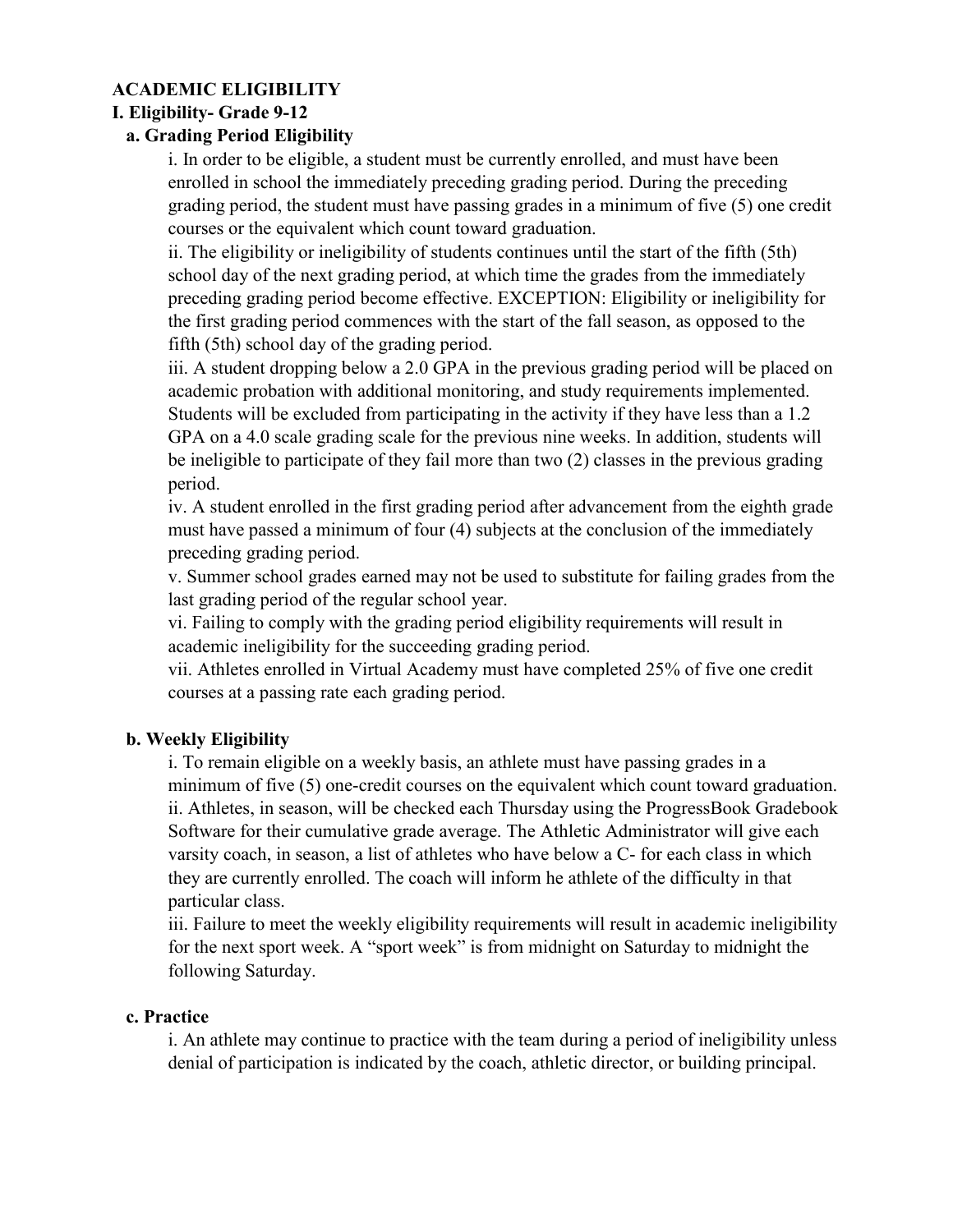# **ACADEMIC ELIGIBILITY**

#### **I. Eligibility- Grade 9-12**

#### **a. Grading Period Eligibility**

i. In order to be eligible, a student must be currently enrolled, and must have been enrolled in school the immediately preceding grading period. During the preceding grading period, the student must have passing grades in a minimum of five (5) one credit courses or the equivalent which count toward graduation.

ii. The eligibility or ineligibility of students continues until the start of the fifth (5th) school day of the next grading period, at which time the grades from the immediately preceding grading period become effective. EXCEPTION: Eligibility or ineligibility for the first grading period commences with the start of the fall season, as opposed to the fifth (5th) school day of the grading period.

iii. A student dropping below a 2.0 GPA in the previous grading period will be placed on academic probation with additional monitoring, and study requirements implemented. Students will be excluded from participating in the activity if they have less than a 1.2 GPA on a 4.0 scale grading scale for the previous nine weeks. In addition, students will be ineligible to participate of they fail more than two (2) classes in the previous grading period.

iv. A student enrolled in the first grading period after advancement from the eighth grade must have passed a minimum of four (4) subjects at the conclusion of the immediately preceding grading period.

v. Summer school grades earned may not be used to substitute for failing grades from the last grading period of the regular school year.

vi. Failing to comply with the grading period eligibility requirements will result in academic ineligibility for the succeeding grading period.

vii. Athletes enrolled in Virtual Academy must have completed 25% of five one credit courses at a passing rate each grading period.

#### **b. Weekly Eligibility**

i. To remain eligible on a weekly basis, an athlete must have passing grades in a minimum of five (5) one-credit courses on the equivalent which count toward graduation. ii. Athletes, in season, will be checked each Thursday using the ProgressBook Gradebook Software for their cumulative grade average. The Athletic Administrator will give each varsity coach, in season, a list of athletes who have below a C- for each class in which they are currently enrolled. The coach will inform he athlete of the difficulty in that particular class.

iii. Failure to meet the weekly eligibility requirements will result in academic ineligibility for the next sport week. A "sport week" is from midnight on Saturday to midnight the following Saturday.

#### **c. Practice**

i. An athlete may continue to practice with the team during a period of ineligibility unless denial of participation is indicated by the coach, athletic director, or building principal.